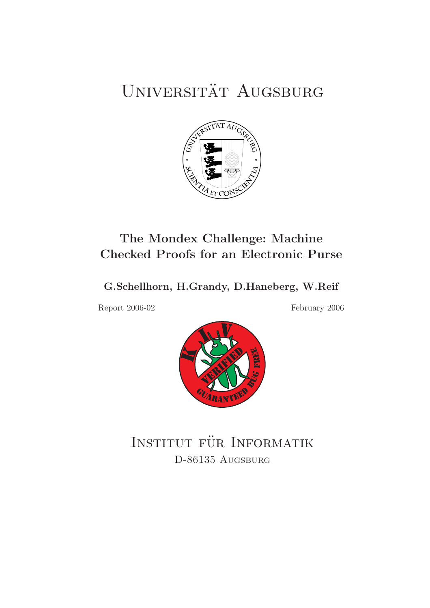# UNIVERSITÄT AUGSBURG



## The Mondex Challenge: Machine Checked Proofs for an Electronic Purse

G.Schellhorn, H.Grandy, D.Haneberg, W.Reif

Report 2006-02 February 2006



INSTITUT FÜR INFORMATIK D-86135 AUGSBURG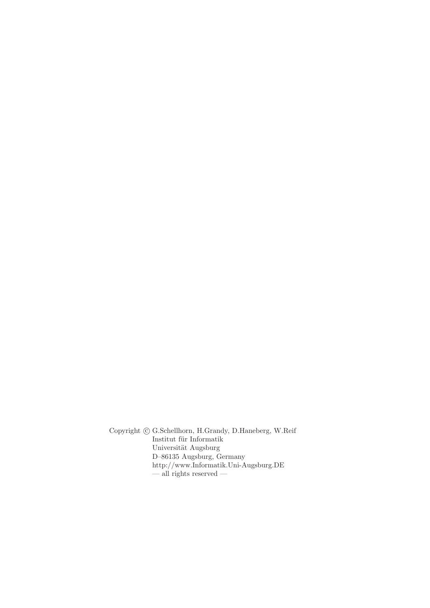Copyright © G.Schellhorn, H.Grandy, D.Haneberg, W.Reif Institut für Informatik Universität Augsburg D–86135 Augsburg, Germany http://www.Informatik.Uni-Augsburg.DE — all rights reserved —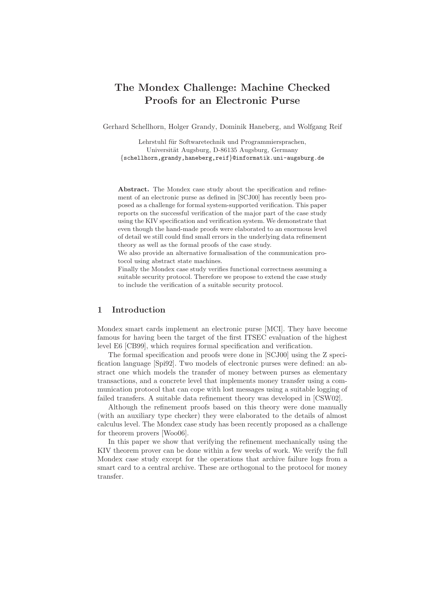### The Mondex Challenge: Machine Checked Proofs for an Electronic Purse

Gerhard Schellhorn, Holger Grandy, Dominik Haneberg, and Wolfgang Reif

Lehrstuhl für Softwaretechnik und Programmiersprachen, Universität Augsburg, D-86135 Augsburg, Germany {schellhorn,grandy,haneberg,reif}@informatik.uni-augsburg.de

Abstract. The Mondex case study about the specification and refinement of an electronic purse as defined in [SCJ00] has recently been proposed as a challenge for formal system-supported verification. This paper reports on the successful verification of the major part of the case study using the KIV specification and verification system. We demonstrate that even though the hand-made proofs were elaborated to an enormous level of detail we still could find small errors in the underlying data refinement theory as well as the formal proofs of the case study.

We also provide an alternative formalisation of the communication protocol using abstract state machines.

Finally the Mondex case study verifies functional correctness assuming a suitable security protocol. Therefore we propose to extend the case study to include the verification of a suitable security protocol.

#### 1 Introduction

Mondex smart cards implement an electronic purse [MCI]. They have become famous for having been the target of the first ITSEC evaluation of the highest level E6 [CB99], which requires formal specification and verification.

The formal specification and proofs were done in [SCJ00] using the Z specification language [Spi92]. Two models of electronic purses were defined: an abstract one which models the transfer of money between purses as elementary transactions, and a concrete level that implements money transfer using a communication protocol that can cope with lost messages using a suitable logging of failed transfers. A suitable data refinement theory was developed in [CSW02].

Although the refinement proofs based on this theory were done manually (with an auxiliary type checker) they were elaborated to the details of almost calculus level. The Mondex case study has been recently proposed as a challenge for theorem provers [Woo06].

In this paper we show that verifying the refinement mechanically using the KIV theorem prover can be done within a few weeks of work. We verify the full Mondex case study except for the operations that archive failure logs from a smart card to a central archive. These are orthogonal to the protocol for money transfer.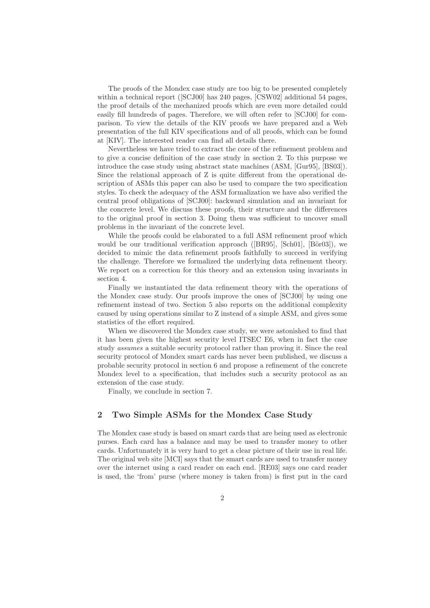The proofs of the Mondex case study are too big to be presented completely within a technical report ([SCJ00] has 240 pages, [CSW02] additional 54 pages, the proof details of the mechanized proofs which are even more detailed could easily fill hundreds of pages. Therefore, we will often refer to [SCJ00] for comparison. To view the details of the KIV proofs we have prepared and a Web presentation of the full KIV specifications and of all proofs, which can be found at [KIV]. The interested reader can find all details there.

Nevertheless we have tried to extract the core of the refinement problem and to give a concise definition of the case study in section 2. To this purpose we introduce the case study using abstract state machines (ASM, [Gur95], [BS03]). Since the relational approach of Z is quite different from the operational description of ASMs this paper can also be used to compare the two specification styles. To check the adequacy of the ASM formalization we have also verified the central proof obligations of [SCJ00]: backward simulation and an invariant for the concrete level. We discuss these proofs, their structure and the differences to the original proof in section 3. Doing them was sufficient to uncover small problems in the invariant of the concrete level.

While the proofs could be elaborated to a full ASM refinement proof which would be our traditional verification approach ( $[BR95]$ ,  $[Sch01]$ ,  $[B\ddot{o}r03]$ ), we decided to mimic the data refinement proofs faithfully to succeed in verifying the challenge. Therefore we formalized the underlying data refinement theory. We report on a correction for this theory and an extension using invariants in section 4.

Finally we instantiated the data refinement theory with the operations of the Mondex case study. Our proofs improve the ones of [SCJ00] by using one refinement instead of two. Section 5 also reports on the additional complexity caused by using operations similar to Z instead of a simple ASM, and gives some statistics of the effort required.

When we discovered the Mondex case study, we were astonished to find that it has been given the highest security level ITSEC E6, when in fact the case study *assumes* a suitable security protocol rather than proving it. Since the real security protocol of Mondex smart cards has never been published, we discuss a probable security protocol in section 6 and propose a refinement of the concrete Mondex level to a specification, that includes such a security protocol as an extension of the case study.

Finally, we conclude in section 7.

#### 2 Two Simple ASMs for the Mondex Case Study

The Mondex case study is based on smart cards that are being used as electronic purses. Each card has a balance and may be used to transfer money to other cards. Unfortunately it is very hard to get a clear picture of their use in real life. The original web site [MCI] says that the smart cards are used to transfer money over the internet using a card reader on each end. [RE03] says one card reader is used, the 'from' purse (where money is taken from) is first put in the card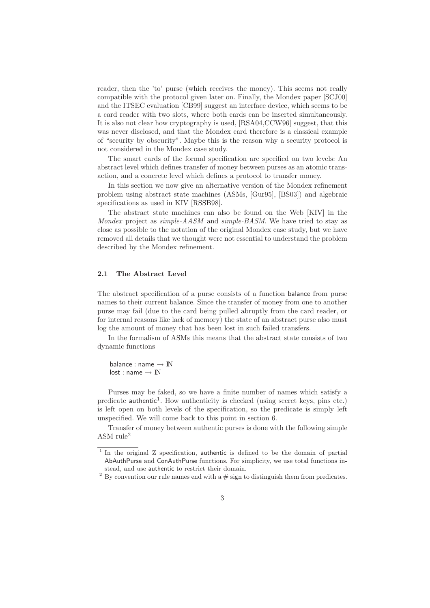reader, then the 'to' purse (which receives the money). This seems not really compatible with the protocol given later on. Finally, the Mondex paper [SCJ00] and the ITSEC evaluation [CB99] suggest an interface device, which seems to be a card reader with two slots, where both cards can be inserted simultaneously. It is also not clear how cryptography is used, [RSA04,CCW96] suggest, that this was never disclosed, and that the Mondex card therefore is a classical example of "security by obscurity". Maybe this is the reason why a security protocol is not considered in the Mondex case study.

The smart cards of the formal specification are specified on two levels: An abstract level which defines transfer of money between purses as an atomic transaction, and a concrete level which defines a protocol to transfer money.

In this section we now give an alternative version of the Mondex refinement problem using abstract state machines (ASMs, [Gur95], [BS03]) and algebraic specifications as used in KIV [RSSB98].

The abstract state machines can also be found on the Web [KIV] in the Mondex project as *simple-AASM* and *simple-BASM*. We have tried to stay as close as possible to the notation of the original Mondex case study, but we have removed all details that we thought were not essential to understand the problem described by the Mondex refinement.

#### 2.1 The Abstract Level

The abstract specification of a purse consists of a function balance from purse names to their current balance. Since the transfer of money from one to another purse may fail (due to the card being pulled abruptly from the card reader, or for internal reasons like lack of memory) the state of an abstract purse also must log the amount of money that has been lost in such failed transfers.

In the formalism of ASMs this means that the abstract state consists of two dynamic functions

balance : name  $\rightarrow \mathbb{N}$  $lost : name \rightarrow \mathbb{N}$ 

Purses may be faked, so we have a finite number of names which satisfy a predicate authentic<sup>1</sup>. How authenticity is checked (using secret keys, pins etc.) is left open on both levels of the specification, so the predicate is simply left unspecified. We will come back to this point in section 6.

Transfer of money between authentic purses is done with the following simple ASM rule<sup>2</sup>

<sup>&</sup>lt;sup>1</sup> In the original Z specification, authentic is defined to be the domain of partial AbAuthPurse and ConAuthPurse functions. For simplicity, we use total functions instead, and use authentic to restrict their domain.

 $2\,$  By convention our rule names end with a  $\#$  sign to distinguish them from predicates.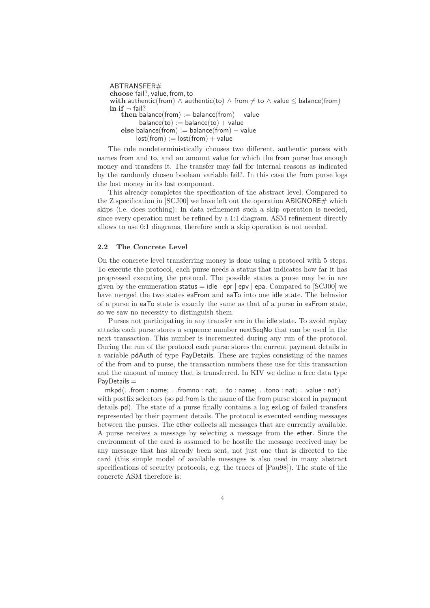ABTRANSFER# choose fail?, value, from,to with authentic(from)  $\land$  authentic(to)  $\land$  from  $\neq$  to  $\land$  value  $\leq$  balance(from) in if  $\neg$  fail? then balance(from) := balance(from)  $-$  value  $balance(to) := balance(to) + value$ else balance(from) := balance(from) – value  $lost(from) := lost(from) + value$ 

The rule nondeterministically chooses two different, authentic purses with names from and to, and an amount value for which the from purse has enough money and transfers it. The transfer may fail for internal reasons as indicated by the randomly chosen boolean variable fail?. In this case the from purse logs the lost money in its lost component.

This already completes the specification of the abstract level. Compared to the Z specification in  $[SCJ00]$  we have left out the operation ABIGNORE# which skips (i.e. does nothing): In data refinement such a skip operation is needed, since every operation must be refined by a 1:1 diagram. ASM refinement directly allows to use 0:1 diagrams, therefore such a skip operation is not needed.

#### 2.2 The Concrete Level

On the concrete level transferring money is done using a protocol with 5 steps. To execute the protocol, each purse needs a status that indicates how far it has progressed executing the protocol. The possible states a purse may be in are given by the enumeration status = idle | epr | epv | epa. Compared to  $[SCJ00]$  we have merged the two states eaFrom and eaTo into one idle state. The behavior of a purse in eaTo state is exactly the same as that of a purse in eaFrom state, so we saw no necessity to distinguish them.

Purses not participating in any transfer are in the idle state. To avoid replay attacks each purse stores a sequence number nextSeqNo that can be used in the next transaction. This number is incremented during any run of the protocol. During the run of the protocol each purse stores the current payment details in a variable pdAuth of type PayDetails. These are tuples consisting of the names of the from and to purse, the transaction numbers these use for this transaction and the amount of money that is transferred. In KIV we define a free data type  $PayDetails =$ 

mkpd(. .from : name; . .fromno : nat; . .to : name; . .tono : nat; . .value : nat) with postfix selectors (so pd.from is the name of the from purse stored in payment details pd). The state of a purse finally contains a log exLog of failed transfers represented by their payment details. The protocol is executed sending messages between the purses. The ether collects all messages that are currently available. A purse receives a message by selecting a message from the ether. Since the environment of the card is assumed to be hostile the message received may be any message that has already been sent, not just one that is directed to the card (this simple model of available messages is also used in many abstract specifications of security protocols, e.g. the traces of [Pau98]). The state of the concrete ASM therefore is: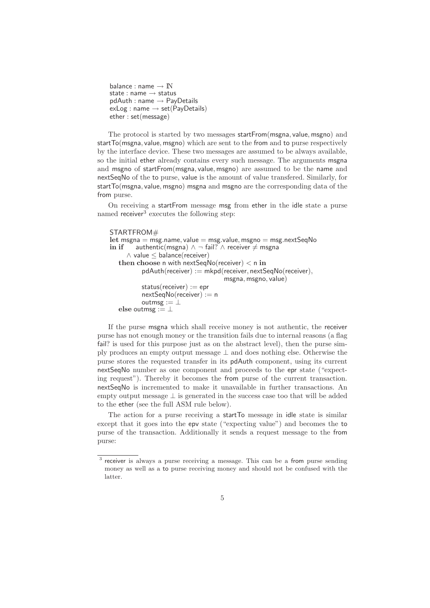```
balance : name \rightarrow \mathbb{N}state : name \rightarrow status
pdAuth : name \rightarrow PayDetailsexLog: name \rightarrow set(PavDetails)ether : set(message)
```
The protocol is started by two messages startFrom(msgna, value, msgno) and startTo(msgna, value, msgno) which are sent to the from and to purse respectively by the interface device. These two messages are assumed to be always available, so the initial ether already contains every such message. The arguments msgna and msgno of startFrom(msgna, value, msgno) are assumed to be the name and nextSeqNo of the to purse, value is the amount of value transfered. Similarly, for startTo(msgna, value, msgno) msgna and msgno are the corresponding data of the from purse.

On receiving a startFrom message msg from ether in the idle state a purse named receiver<sup>3</sup> executes the following step:

```
STARTFROM#
let msgna = msg.name, value = msg.value, msgno = msg.nextSeqNo
in if authentic(msgna) \wedge \neg fail? \wedge receiver \neq msgna
     ∧ value ≤ balance(receiver)
  then choose n with nextSeqNo(receiver) < n in
          pdAuth(receiver) := mkpd(receiver, nextSeqNo(receiver),
                                     msgna, msgno, value)
          status(receiver) := eprnextSeqNo(receiver) := n
          outmsg := \perpelse outmsg := \bot
```
If the purse msgna which shall receive money is not authentic, the receiver purse has not enough money or the transition fails due to internal reasons (a flag fail? is used for this purpose just as on the abstract level), then the purse simply produces an empty output message ⊥ and does nothing else. Otherwise the purse stores the requested transfer in its pdAuth component, using its current nextSeqNo number as one component and proceeds to the epr state ("expecting request"). Thereby it becomes the from purse of the current transaction. nextSeqNo is incremented to make it unavailable in further transactions. An empty output message ⊥ is generated in the success case too that will be added to the ether (see the full ASM rule below).

The action for a purse receiving a startTo message in idle state is similar except that it goes into the epv state ("expecting value") and becomes the to purse of the transaction. Additionally it sends a request message to the from purse:

<sup>&</sup>lt;sup>3</sup> receiver is always a purse receiving a message. This can be a from purse sending money as well as a to purse receiving money and should not be confused with the latter.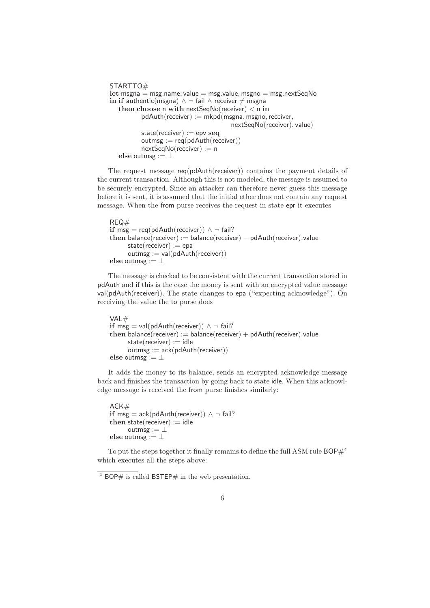```
STARTTO#
let msgna \stackrel{\text{ii}}{=} msg.name, value = msg.value, msgno = msg.nextSeqNo
in if authentic(msgna) \land ¬ fail \land receiver \neq msgna
   then choose n with nextSeqNo(receiver) < n in
           pdAuthor(receiver) := mkpd(msgna, msgno, receiver,nextSeqNo(receiver), value)
           state(receiver) := epv seq
           outmsg := \text{req}(\text{pdAuth}(\text{receiver}))nextSeqNo(receiver) := n
   else outmsg := ⊥
```
The request message req(pdAuth(receiver)) contains the payment details of the current transaction. Although this is not modeled, the message is assumed to be securely encrypted. Since an attacker can therefore never guess this message before it is sent, it is assumed that the initial ether does not contain any request message. When the from purse receives the request in state epr it executes

```
REQ#
if msg = req(pdAuth(receiver)) \wedge \neg fail?
then balance(receiver) := balance(receiver) − pdAuth(receiver).value
      state(receiver) := epa
      outmsg := val(pdAuth(receiver))else outmsg := ⊥
```
The message is checked to be consistent with the current transaction stored in pdAuth and if this is the case the money is sent with an encrypted value message val(pdAuth(receiver)). The state changes to epa ("expecting acknowledge"). On receiving the value the to purse does

```
VAL#
if msg = val(pdAuth(receiver)) \wedge - fail?
then balance(receiver) := balance(receiver) + pdAuth(receiver).value
      state(receiver) := idleoutmsg := \text{ack}(\text{pdAuth}(\text{receiver}))else outmsg := \bot
```
It adds the money to its balance, sends an encrypted acknowledge message back and finishes the transaction by going back to state idle. When this acknowledge message is received the from purse finishes similarly:

```
ACK#
if msg = ack(pdAuth(receiver)) \wedge \neg fail?
then state(receiver) := idle
      outmsg := \perpelse outmsg := ⊥
```
To put the steps together it finally remains to define the full ASM rule  $BOP#^4$ which executes all the steps above:

 $\frac{4}{4}$  BOP# is called BSTEP# in the web presentation.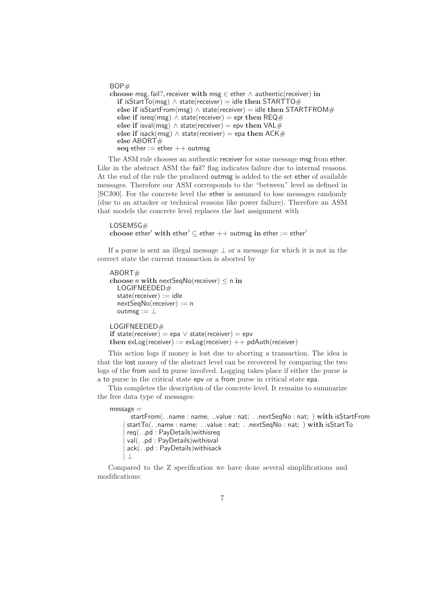```
BOP#
```

```
choose msg, fail?, receiver with msg \in ether \wedge authentic(receiver) in
  if isStartTo(msg) \land state(receiver) = idle then STARTTO#
  else if isStartFrom(msg) ∧ state(receiver) = idle then STARTFROM#
  else if isreq(msg) \wedge state(receiver) = epr then REQ#
  else if isval(msg) \wedge state(receiver) = epv then VAL#
  else if isack(msg) \wedge state(receiver) = epa then ACK#
  else ABORT#
  seq ether := ether ++ outmsg
```
The ASM rule chooses an authentic receiver for some message msg from ether. Like in the abstract ASM the fail? flag indicates failure due to internal reasons. At the end of the rule the produced outmsg is added to the set ether of available messages. Therefore our ASM corresponds to the "between" level as defined in [SCJ00]. For the concrete level the ether is assumed to lose messages randomly (due to an attacker or technical reasons like power failure). Therefore an ASM that models the concrete level replaces the last assignment with

```
LOSEMSG#
choose ether' with ether' \subseteq ether ++ outmsg in ether := ether'
```
If a purse is sent an illegal message  $\perp$  or a message for which it is not in the correct state the current transaction is aborted by

```
ABORT#
choose n with nextSeqNo(receiver) \leq n in
  LOGIFNEEDED#
  state(receiver) := idlenextSeqNo(receiver) := n
  outmsg := \bot
```

```
LOGIFNEEDED#
if state(receiver) = epa \vee state(receiver) = epv
then exLog(receiver) := exLog(receiver) + \text{pd}Auth(receiver)
```
This action logs if money is lost due to aborting a transaction. The idea is that the lost money of the abstract level can be recovered by comparing the two logs of the from and to purse involved. Logging takes place if either the purse is a to purse in the critical state epv or a from purse in critical state epa.

This completes the description of the concrete level. It remains to summarize the free data type of messages:

```
message =
```

```
startFrom(. .name : name; ..value : nat; . .nextSeqNo : nat; ) with isStartFrom
| startTo(. .name : name; . .value : nat; . .nextSeqNo : nat; ) with isStartTo
| req(. .pd : PayDetails)withisreq
val(. .pd : PayDetails)withisval
ack(. .pd : PayDetails)withisack
| ⊥
```
Compared to the Z specification we have done several simplifications and modifications: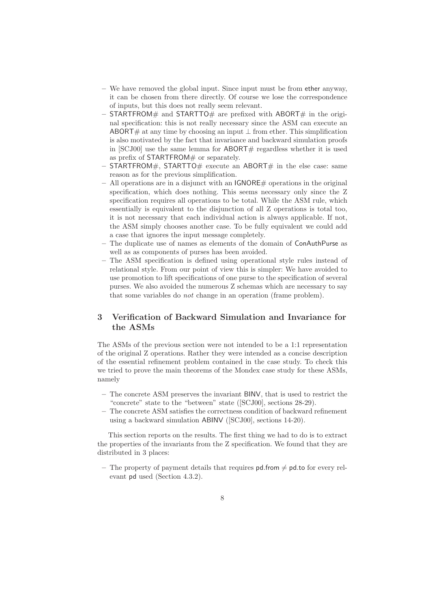- We have removed the global input. Since input must be from ether anyway, it can be chosen from there directly. Of course we lose the correspondence of inputs, but this does not really seem relevant.
- STARTFROM# and STARTTO# are prefixed with ABORT# in the original specification: this is not really necessary since the ASM can execute an ABORT# at any time by choosing an input  $\perp$  from ether. This simplification is also motivated by the fact that invariance and backward simulation proofs in  $[SCJ00]$  use the same lemma for  $ABORT \#$  regardless whether it is used as prefix of STARTFROM# or separately.
- $STARTFROM\#, STARTTO\#$  execute an ABORT# in the else case: same reason as for the previous simplification.
- $-$  All operations are in a disjunct with an  $\mathsf{IGNORE\#}$  operations in the original specification, which does nothing. This seems necessary only since the Z specification requires all operations to be total. While the ASM rule, which essentially is equivalent to the disjunction of all Z operations is total too, it is not necessary that each individual action is always applicable. If not, the ASM simply chooses another case. To be fully equivalent we could add a case that ignores the input message completely.
- The duplicate use of names as elements of the domain of ConAuthPurse as well as as components of purses has been avoided.
- The ASM specification is defined using operational style rules instead of relational style. From our point of view this is simpler: We have avoided to use promotion to lift specifications of one purse to the specification of several purses. We also avoided the numerous Z schemas which are necessary to say that some variables do not change in an operation (frame problem).

#### 3 Verification of Backward Simulation and Invariance for the ASMs

The ASMs of the previous section were not intended to be a 1:1 representation of the original Z operations. Rather they were intended as a concise description of the essential refinement problem contained in the case study. To check this we tried to prove the main theorems of the Mondex case study for these ASMs, namely

- The concrete ASM preserves the invariant BINV, that is used to restrict the "concrete" state to the "between" state ([SCJ00], sections 28-29).
- The concrete ASM satisfies the correctness condition of backward refinement using a backward simulation ABINV ([SCJ00], sections 14-20).

This section reports on the results. The first thing we had to do is to extract the properties of the invariants from the Z specification. We found that they are distributed in 3 places:

– The property of payment details that requires  $pd$  from  $\neq pd$  to for every relevant pd used (Section 4.3.2).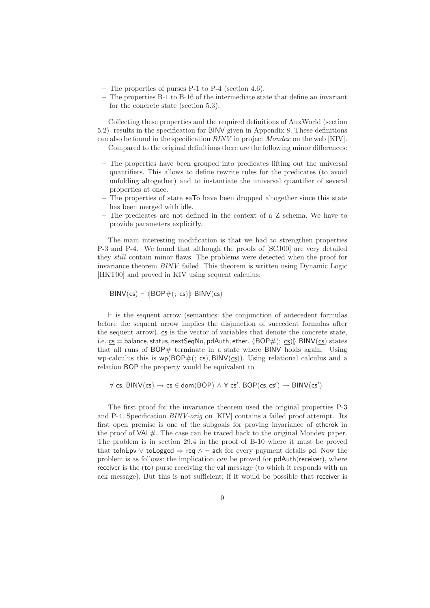- The properties of purses P-1 to P-4 (section 4.6).
- The properties B-1 to B-16 of the intermediate state that define an invariant for the concrete state (section 5.3).

Collecting these properties and the required definitions of AuxWorld (section 5.2) results in the specification for BINV given in Appendix 8. These definitions can also be found in the specification BINV in project Mondex on the web [KIV]. Compared to the original definitions there are the following minor differences:

- The properties have been grouped into predicates lifting out the universal quantifiers. This allows to define rewrite rules for the predicates (to avoid unfolding altogether) and to instantiate the universal quantifier of several properties at once.
- The properties of state eaTo have been dropped altogether since this state has been merged with idle.
- The predicates are not defined in the context of a Z schema. We have to provide parameters explicitly.

The main interesting modification is that we had to strengthen properties P-3 and P-4. We found that although the proofs of [SCJ00] are very detailed they still contain minor flaws. The problems were detected when the proof for invariance theorem BINV failed. This theorem is written using Dynamic Logic [HKT00] and proved in KIV using sequent calculus:

BINV(cs)  $\vdash$   $\langle$ BOP $\#$ (; cs) $\rangle$  BINV(cs)

⊢ is the sequent arrow (semantics: the conjunction of antecedent formulas before the sequent arrow implies the disjunction of succedent formulas after the sequent arrow). cs is the vector of variables that denote the concrete state, i.e.  $cs =$  balance, status, nextSeqNo, pdAuth, ether.  $\langle BOP#({\rm ;\; cs)}\rangle$  BINV(cs) states that all runs of  $BOP#$  terminate in a state where  $BINV$  holds again. Using wp-calculus this is  $wp(BOP\#((\text{cs}),\text{BINV}(\text{cs})).$  Using relational calculus and a relation BOP the property would be equivalent to

$$
\forall \underline{\text{cs}}.\text{ BINV}(\underline{\text{cs}}) \rightarrow \underline{\text{cs}} \in \text{dom}(\text{BOP}) \land \forall \underline{\text{cs}}'.\text{ BOP}(\underline{\text{cs}},\underline{\text{cs}}') \rightarrow \text{BINV}(\underline{\text{cs}'})
$$

The first proof for the invariance theorem used the original properties P-3 and P-4. Specification BINV-orig on [KIV] contains a failed proof attempt. Its first open premise is one of the subgoals for proving invariance of etherok in the proof of VAL#. The case can be traced back to the original Mondex paper. The problem is in section 29.4 in the proof of B-10 where it must be proved that tolnEpv  $\vee$  toLogged  $\Rightarrow$  req  $\wedge \neg$  ack for every payment details pd. Now the problem is as follows: the implication *can* be proved for **pdAuth**(receiver), where receiver is the (to) purse receiving the val message (to which it responds with an ack message). But this is not sufficient: if it would be possible that receiver is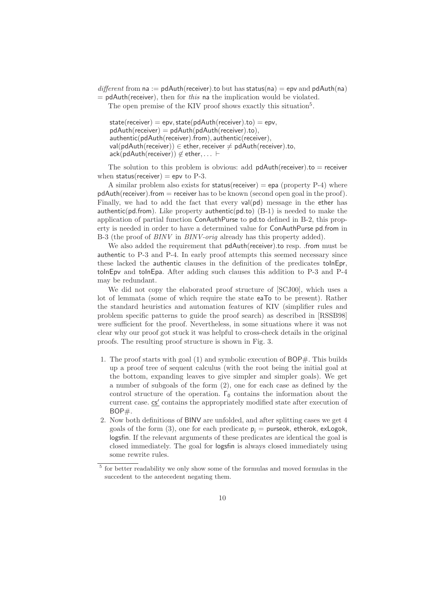different from  $na := pdAuth(receiver)$ . to but has status( $na$ ) = epv and pdAuth( $na$ )  $=$  pdAuth(receiver), then for this na the implication would be violated.

The open premise of the KIV proof shows exactly this situation<sup>5</sup>.

state(receiver) = epv, state(pdAuth(receiver).to) = epv,  $pdAuth(receiver) = pdAuth(pdAuth(receiver).to),$ authentic(pdAuth(receiver).from), authentic(receiver), val(pdAuth(receiver))  $\in$  ether, receiver  $\neq$  pdAuth(receiver).to, ack(pdAuth(receiver))  $\notin$  ether, ... ⊢

The solution to this problem is obvious: add  $pd\text{Aut}$  (receiver).to  $=$  receiver when status(receiver) = epv to  $P-3$ .

A similar problem also exists for status(receiver) = epa (property P-4) where  $pd\text{Aut}$  (receiver). from  $=$  receiver has to be known (second open goal in the proof). Finally, we had to add the fact that every val(pd) message in the ether has authentic( $pd$ .from). Like property authentic( $pd$ .to) ( $B$ -1) is needed to make the application of partial function ConAuthPurse to pd.to defined in B-2, this property is needed in order to have a determined value for ConAuthPurse pd.from in B-3 (the proof of *BINV* in *BINV-orig* already has this property added).

We also added the requirement that pdAuth(receiver).to resp. .from must be authentic to P-3 and P-4. In early proof attempts this seemed necessary since these lacked the authentic clauses in the definition of the predicates tolnEpr, toInEpv and toInEpa. After adding such clauses this addition to P-3 and P-4 may be redundant.

We did not copy the elaborated proof structure of [SCJ00], which uses a lot of lemmata (some of which require the state eaTo to be present). Rather the standard heuristics and automation features of KIV (simplifier rules and problem specific patterns to guide the proof search) as described in [RSSB98] were sufficient for the proof. Nevertheless, in some situations where it was not clear why our proof got stuck it was helpful to cross-check details in the original proofs. The resulting proof structure is shown in Fig. 3.

- 1. The proof starts with goal  $(1)$  and symbolic execution of  $BOP#$ . This builds up a proof tree of sequent calculus (with the root being the initial goal at the bottom, expanding leaves to give simpler and simpler goals). We get a number of subgoals of the form (2), one for each case as defined by the control structure of the operation.  $\Gamma_0$  contains the information about the current case. cs' contains the appropriately modified state after execution of BOP#.
- 2. Now both definitions of BINV are unfolded, and after splitting cases we get 4 goals of the form (3), one for each predicate  $p_i$  = purseok, etherok, exlogok, logsfin. If the relevant arguments of these predicates are identical the goal is closed immediately. The goal for logsfin is always closed immediately using some rewrite rules.

<sup>5</sup> for better readability we only show some of the formulas and moved formulas in the succedent to the antecedent negating them.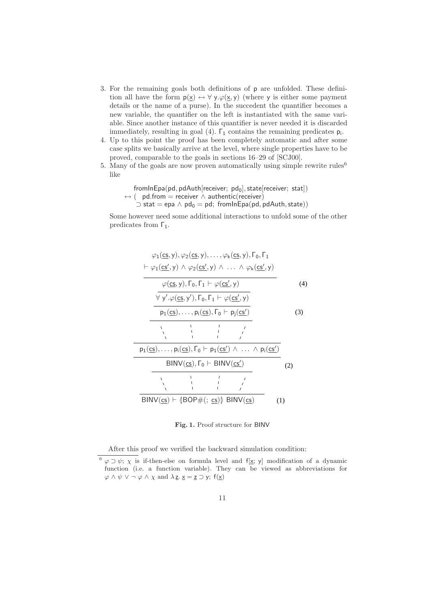- 3. For the remaining goals both definitions of p are unfolded. These definition all have the form  $p(\underline{x}) \leftrightarrow \forall y. \varphi(\underline{x}, y)$  (where y is either some payment details or the name of a purse). In the succedent the quantifier becomes a new variable, the quantifier on the left is instantiated with the same variable. Since another instance of this quantifier is never needed it is discarded immediately, resulting in goal  $(4)$ .  $\Gamma_1$  contains the remaining predicates  $p_i$ .
- 4. Up to this point the proof has been completely automatic and after some case splits we basically arrive at the level, where single properties have to be proved, comparable to the goals in sections 16–29 of [SCJ00].
- 5. Many of the goals are now proven automatically using simple rewrite rules<sup>6</sup> like

fromInEpa(pd, pdAuth[receiver; pd $_0$ ], state[receiver; stat])  $\leftrightarrow$  ( pd.from = receiver  $\wedge$  authentic(receiver)  $\supset$  stat = epa ∧ pd<sub>0</sub> = pd; fromInEpa(pd, pdAuth, state))

Some however need some additional interactions to unfold some of the other predicates from  $\Gamma_1$ .

$$
\varphi_{1}(\underline{cs}, y), \varphi_{2}(\underline{cs}, y), \ldots, \varphi_{k}(\underline{cs}, y), \Gamma_{0}, \Gamma_{1}
$$
\n
$$
\vdash \varphi_{1}(\underline{cs}', y) \land \varphi_{2}(\underline{cs}', y) \land \ldots \land \varphi_{k}(\underline{cs}', y)
$$
\n
$$
\varphi(\underline{cs}, y), \Gamma_{0}, \Gamma_{1} \vdash \varphi(\underline{cs}', y)
$$
\n
$$
\varphi(\underline{cs}, y), \Gamma_{0}, \Gamma_{1} \vdash \varphi(\underline{cs}', y)
$$
\n
$$
\varphi_{1}(\underline{cs}), \ldots, p_{i}(\underline{cs}), \Gamma_{0} \vdash p_{j}(\underline{cs}')
$$
\n
$$
\vdots
$$
\n
$$
\vdots
$$
\n
$$
\vdots
$$
\n
$$
p_{1}(\underline{cs}), \ldots, p_{i}(\underline{cs}), \Gamma_{0} \vdash p_{1}(\underline{cs}') \land \ldots \land p_{i}(\underline{cs}')
$$
\n
$$
\vdots
$$
\n
$$
\vdots
$$
\n
$$
\vdots
$$
\n
$$
\vdots
$$
\n
$$
\vdots
$$
\n
$$
\vdots
$$
\n
$$
\vdots
$$
\n
$$
\vdots
$$
\n
$$
\vdots
$$
\n
$$
\vdots
$$
\n
$$
\vdots
$$
\n
$$
\vdots
$$
\n
$$
\vdots
$$
\n
$$
\vdots
$$
\n
$$
\vdots
$$
\n
$$
\vdots
$$
\n
$$
\vdots
$$
\n
$$
\vdots
$$
\n
$$
\vdots
$$
\n
$$
\vdots
$$
\n
$$
\vdots
$$
\n
$$
\vdots
$$
\n
$$
\vdots
$$
\n
$$
\vdots
$$
\n
$$
\vdots
$$
\n
$$
\vdots
$$
\n
$$
\vdots
$$
\n
$$
\vdots
$$
\n
$$
\vdots
$$
\n
$$
\vdots
$$
\n
$$
\vdots
$$
\n
$$
\vdots
$$
\n
$$
\vdots
$$
\n
$$
\vdots
$$
\n<math display="</math>

Fig. 1. Proof structure for BINV

After this proof we verified the backward simulation condition:

 $\phi \circ \psi$ ;  $\chi$  is if-then-else on formula level and f[x; y] modification of a dynamic function (i.e. a function variable). They can be viewed as abbreviations for  $\varphi \land \psi \lor \neg \varphi \land \chi$  and  $\lambda \underline{z} \cdot \underline{x} = \underline{z} \supset y$ ; f(<u>x</u>)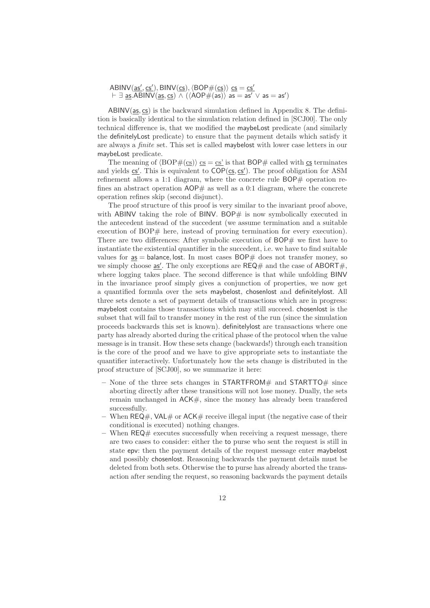$ABINV(\underline{as}', \underline{cs}')$ , BINV $(\underline{cs})$ ,  $\langle BOP\#(\underline{cs})\rangle$   $\underline{cs} = \underline{cs'}$  $\vdash \exists \underline{\text{as}}.\overline{\text{ABINV}}(\underline{\text{as}}, \underline{\text{cs}}) \land (\langle \text{AOPH}(\text{as}) \rangle \text{ as } = \text{as'} \lor \text{as } = \text{as'} )$ 

 $ABINV(\underline{as}, \underline{cs})$  is the backward simulation defined in Appendix 8. The definition is basically identical to the simulation relation defined in [SCJ00]. The only technical difference is, that we modified the maybeLost predicate (and similarly the definitelyLost predicate) to ensure that the payment details which satisfy it are always a finite set. This set is called maybelost with lower case letters in our maybeLost predicate.

The meaning of  $\langle BOP\#(\underline{cs})\rangle$   $\underline{cs} = \underline{cs'}$  is that BOP# called with  $\underline{cs}$  terminates and yields  $c s'$ . This is equivalent to  $\overline{COP}(\underline{c s}, \underline{c s'})$ . The proof obligation for ASM refinement allows a 1:1 diagram, where the concrete rule  $BOP\#$  operation refines an abstract operation  $AOP#$  as well as a 0:1 diagram, where the concrete operation refines skip (second disjunct).

The proof structure of this proof is very similar to the invariant proof above, with ABINV taking the role of BINV. BOP $#$  is now symbolically executed in the antecedent instead of the succedent (we assume termination and a suitable execution of BOP# here, instead of proving termination for every execution). There are two differences: After symbolic execution of  $BOP#$  we first have to instantiate the existential quantifier in the succedent, i.e. we have to find suitable values for  $as = balance$ , lost. In most cases  $BOP#$  does not transfer money, so we simply choose <u>as'</u>. The only exceptions are  $REQ#$  and the case of ABORT#, where logging takes place. The second difference is that while unfolding BINV in the invariance proof simply gives a conjunction of properties, we now get a quantified formula over the sets maybelost, chosenlost and definitelylost. All three sets denote a set of payment details of transactions which are in progress: maybelost contains those transactions which may still succeed. chosenlost is the subset that will fail to transfer money in the rest of the run (since the simulation proceeds backwards this set is known). definitelylost are transactions where one party has already aborted during the critical phase of the protocol when the value message is in transit. How these sets change (backwards!) through each transition is the core of the proof and we have to give appropriate sets to instantiate the quantifier interactively. Unfortunately how the sets change is distributed in the proof structure of [SCJ00], so we summarize it here:

- None of the three sets changes in STARTFROM# and STARTTO# since aborting directly after these transitions will not lose money. Dually, the sets remain unchanged in  $ACK\#$ , since the money has already been transfered successfully.
- When  $\mathsf{REQ}\#$ ,  $\mathsf{VAL}\#$  or  $\mathsf{ACK}\#$  receive illegal input (the negative case of their conditional is executed) nothing changes.
- When  $REQ#$  executes successfully when receiving a request message, there are two cases to consider: either the to purse who sent the request is still in state epv: then the payment details of the request message enter maybelost and possibly chosenlost. Reasoning backwards the payment details must be deleted from both sets. Otherwise the to purse has already aborted the transaction after sending the request, so reasoning backwards the payment details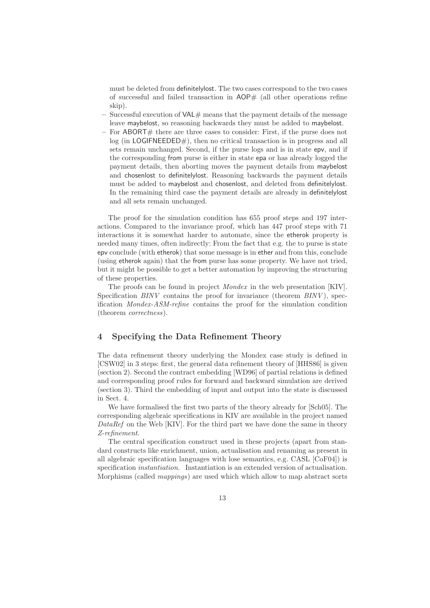must be deleted from definitelylost. The two cases correspond to the two cases of successful and failed transaction in  $AOP#$  (all other operations refine skip).

- Successful execution of  $VAL#$  means that the payment details of the message leave maybelost, so reasoning backwards they must be added to maybelost.
- $-$  For ABORT# there are three cases to consider: First, if the purse does not  $log$  (in LOGIFNEEDED#), then no critical transaction is in progress and all sets remain unchanged. Second, if the purse logs and is in state epv, and if the corresponding from purse is either in state epa or has already logged the payment details, then aborting moves the payment details from maybelost and chosenlost to definitelylost. Reasoning backwards the payment details must be added to maybelost and chosenlost, and deleted from definitelylost. In the remaining third case the payment details are already in definitelylost and all sets remain unchanged.

The proof for the simulation condition has 655 proof steps and 197 interactions. Compared to the invariance proof, which has 447 proof steps with 71 interactions it is somewhat harder to automate, since the etherok property is needed many times, often indirectly: From the fact that e.g. the to purse is state epv conclude (with etherok) that some message is in ether and from this, conclude (using etherok again) that the from purse has some property. We have not tried, but it might be possible to get a better automation by improving the structuring of these properties.

The proofs can be found in project *Mondex* in the web presentation [KIV]. Specification BINV contains the proof for invariance (theorem BINV), specification Mondex-ASM-refine contains the proof for the simulation condition (theorem correctness).

#### 4 Specifying the Data Refinement Theory

The data refinement theory underlying the Mondex case study is defined in [CSW02] in 3 steps: first, the general data refinement theory of [HHS86] is given (section 2). Second the contract embedding [WD96] of partial relations is defined and corresponding proof rules for forward and backward simulation are derived (section 3). Third the embedding of input and output into the state is discussed in Sect. 4.

We have formalised the first two parts of the theory already for [Sch05]. The corresponding algebraic specifications in KIV are available in the project named  $DataRef$  on the Web [KIV]. For the third part we have done the same in theory Z-refinement.

The central specification construct used in these projects (apart from standard constructs like enrichment, union, actualisation and renaming as present in all algebraic specification languages with lose semantics, e.g. CASL [CoF04]) is specification *instantiation*. Instantiation is an extended version of actualisation. Morphisms (called mappings) are used which which allow to map abstract sorts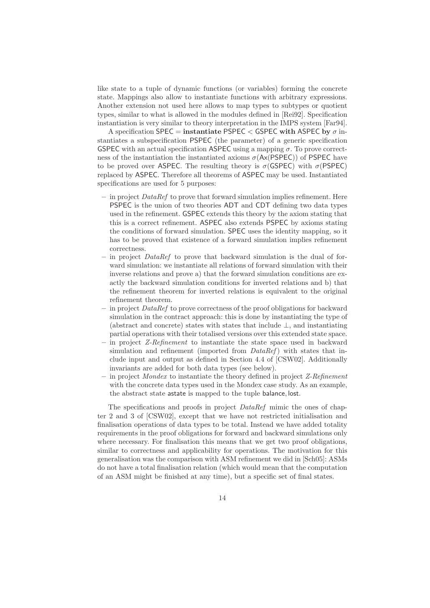like state to a tuple of dynamic functions (or variables) forming the concrete state. Mappings also allow to instantiate functions with arbitrary expressions. Another extension not used here allows to map types to subtypes or quotient types, similar to what is allowed in the modules defined in [Rei92]. Specification instantiation is very similar to theory interpretation in the IMPS system [Far94].

A specification SPEC = instantiate PSPEC < GSPEC with ASPEC by  $\sigma$  instantiates a subspecification PSPEC (the parameter) of a generic specification GSPEC with an actual specification ASPEC using a mapping  $\sigma$ . To prove correctness of the instantiation the instantiated axioms  $\sigma(Ax(PSPEC))$  of PSPEC have to be proved over ASPEC. The resulting theory is  $\sigma$ (GSPEC) with  $\sigma$ (PSPEC) replaced by ASPEC. Therefore all theorems of ASPEC may be used. Instantiated specifications are used for 5 purposes:

- $-$  in project DataRef to prove that forward simulation implies refinement. Here PSPEC is the union of two theories ADT and CDT defining two data types used in the refinement. GSPEC extends this theory by the axiom stating that this is a correct refinement. ASPEC also extends PSPEC by axioms stating the conditions of forward simulation. SPEC uses the identity mapping, so it has to be proved that existence of a forward simulation implies refinement correctness.
- in project  $DataRef$  to prove that backward simulation is the dual of forward simulation: we instantiate all relations of forward simulation with their inverse relations and prove a) that the forward simulation conditions are exactly the backward simulation conditions for inverted relations and b) that the refinement theorem for inverted relations is equivalent to the original refinement theorem.
- in project DataRef to prove correctness of the proof obligations for backward simulation in the contract approach: this is done by instantiating the type of (abstract and concrete) states with states that include  $\perp$ , and instantiating partial operations with their totalised versions over this extended state space.
- $-$  in project Z-Refinement to instantiate the state space used in backward simulation and refinement (imported from  $DataRef$ ) with states that include input and output as defined in Section 4.4 of [CSW02]. Additionally invariants are added for both data types (see below).
- in project Mondex to instantiate the theory defined in project Z-Refinement with the concrete data types used in the Mondex case study. As an example, the abstract state astate is mapped to the tuple balance, lost.

The specifications and proofs in project DataRef mimic the ones of chapter 2 and 3 of [CSW02], except that we have not restricted initialisation and finalisation operations of data types to be total. Instead we have added totality requirements in the proof obligations for forward and backward simulations only where necessary. For finalisation this means that we get two proof obligations, similar to correctness and applicability for operations. The motivation for this generalisation was the comparison with ASM refinement we did in [Sch05]: ASMs do not have a total finalisation relation (which would mean that the computation of an ASM might be finished at any time), but a specific set of final states.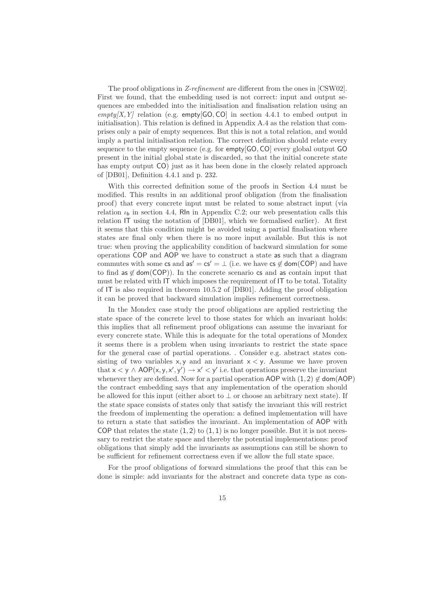The proof obligations in Z-refinement are different from the ones in [CSW02]. First we found, that the embedding used is not correct: input and output sequences are embedded into the initialisation and finalisation relation using an  $empty[X, Y]$  relation (e.g. empty[GO, CO] in section 4.4.1 to embed output in initialisation). This relation is defined in Appendix A.4 as the relation that comprises only a pair of empty sequences. But this is not a total relation, and would imply a partial initialisation relation. The correct definition should relate every sequence to the empty sequence (e.g. for empty[GO, CO] every global output GO present in the initial global state is discarded, so that the initial concrete state has empty output  $CO$ ) just as it has been done in the closely related approach of [DB01], Definition 4.4.1 and p. 232.

With this corrected definition some of the proofs in Section 4.4 must be modified. This results in an additional proof obligation (from the finalisation proof) that every concrete input must be related to some abstract input (via relation  $\iota_{\mathbf{b}}$  in section 4.4, RIn in Appendix C.2; our web presentation calls this relation IT using the notation of [DB01], which we formalised earlier). At first it seems that this condition might be avoided using a partial finalisation where states are final only when there is no more input available. But this is not true: when proving the applicability condition of backward simulation for some operations COP and AOP we have to construct a state as such that a diagram commutes with some cs and  $as' = cs' = \bot$  (i.e. we have cs  $\notin$  dom(COP) and have to find as  $\notin$  dom(COP)). In the concrete scenario cs and as contain input that must be related with IT which imposes the requirement of IT to be total. Totality of IT is also required in theorem 10.5.2 of [DB01]. Adding the proof obligation it can be proved that backward simulation implies refinement correctness.

In the Mondex case study the proof obligations are applied restricting the state space of the concrete level to those states for which an invariant holds: this implies that all refinement proof obligations can assume the invariant for every concrete state. While this is adequate for the total operations of Mondex it seems there is a problem when using invariants to restrict the state space for the general case of partial operations. . Consider e.g. abstract states consisting of two variables x, y and an invariant  $x < y$ . Assume we have proven that  $x < y \land \text{AOP}(x, y, x', y') \rightarrow x' < y'$  i.e. that operations preserve the invariant whenever they are defined. Now for a partial operation AOP with  $(1, 2) \notin \text{dom}(\text{AOP})$ the contract embedding says that any implementation of the operation should be allowed for this input (either abort to  $\perp$  or choose an arbitrary next state). If the state space consists of states only that satisfy the invariant this will restrict the freedom of implementing the operation: a defined implementation will have to return a state that satisfies the invariant. An implementation of AOP with COP that relates the state  $(1, 2)$  to  $(1, 1)$  is no longer possible. But it is not necessary to restrict the state space and thereby the potential implementations: proof obligations that simply add the invariants as assumptions can still be shown to be sufficient for refinement correctness even if we allow the full state space.

For the proof obligations of forward simulations the proof that this can be done is simple: add invariants for the abstract and concrete data type as con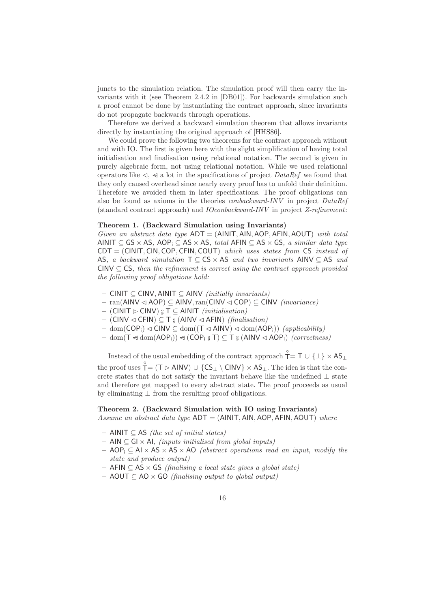juncts to the simulation relation. The simulation proof will then carry the invariants with it (see Theorem 2.4.2 in [DB01]). For backwards simulation such a proof cannot be done by instantiating the contract approach, since invariants do not propagate backwards through operations.

Therefore we derived a backward simulation theorem that allows invariants directly by instantiating the original approach of [HHS86].

We could prove the following two theorems for the contract approach without and with IO. The first is given here with the slight simplification of having total initialisation and finalisation using relational notation. The second is given in purely algebraic form, not using relational notation. While we used relational operators like  $\triangleleft$ ,  $\triangleleft$  a lot in the specifications of project DataRef we found that they only caused overhead since nearly every proof has to unfold their definition. Therefore we avoided them in later specifications. The proof obligations can also be found as axioms in the theories conbackward-INV in project DataRef (standard contract approach) and IOconbackward-INV in project Z-refinement:

#### Theorem 1. (Backward Simulation using Invariants)

Given an abstract data type  $ADT = (AINIT, AIN, AOP, AFIN, AOUT)$  with total AINIT  $\subset$  GS  $\times$  AS, AOP<sub>i</sub>  $\subset$  AS  $\times$  AS, total AFIN  $\subset$  AS  $\times$  GS, a similar data type  $CDT = (CINT, CIN, COP, CFIN, COUT)$  which uses states from CS instead of AS, a backward simulation  $T \subseteq CS \times AS$  and two invariants AINV  $\subseteq AS$  and  $CINV \subset CS$ , then the refinement is correct using the contract approach provided the following proof obligations hold:

- CINIT ⊆ CINV,AINIT ⊆ AINV (initially invariants)
- $-$  ran(AINV  $\triangleleft$  AOP) ⊆ AINV, ran(CINV  $\triangleleft$  COP) ⊆ CINV *(invariance)*
- $-$  (CINIT ⊳ CINV)  ${}_{9}$  T  $\subseteq$  AINIT *(initialisation)*
- $-$  (CINV  $\triangleleft$  CFIN)  $\subseteq$  T  $_{9}$  (AINV  $\triangleleft$  AFIN) *(finalisation)*
- $-$  dom(COP<sub>i</sub>)  $\triangleleft$  CINV  $\subseteq$  dom((T  $\triangleleft$  AINV)  $\triangleleft$  dom(AOP<sub>i</sub>)) *(applicability)*
- $dom(T \triangleleft dom(AOP_i)) \triangleleft (COP_i \, \frac{\circ}{9} T) \subseteq T \, \frac{\circ}{9} (AINV \triangleleft AOP_i)$  (correctness)

Instead of the usual embedding of the contract approach  $\Gamma = \top \cup \{\bot\} \times \mathsf{AS}_\bot$ the proof uses  $\overrightarrow{T} = (T \rhd \text{AINV}) \cup \{CS_\perp \setminus \text{CINV}\} \times AS_\perp$ . The idea is that the concrete states that do not satisfy the invariant behave like the undefined ⊥ state and therefore get mapped to every abstract state. The proof proceeds as usual by eliminating  $\perp$  from the resulting proof obligations.

#### Theorem 2. (Backward Simulation with IO using Invariants)

Assume an abstract data type  $ADT = (AlNIT, AIN, AOP, AFIN, AOUT)$  where

- $-$  AINIT ⊆ AS (the set of initial states)
- $−$  AIN  $\subset$  GI  $\times$  AI, *(inputs initialised from global inputs)*
- $-$  AOP<sub>i</sub>  $\subseteq$  AI  $\times$  AS  $\times$  AS  $\times$  AO *(abstract operations read an input, modify the* state and produce output)
- $−$  AFIN  $≤$  AS  $×$  GS (finalising a local state gives a global state)
- $-$  AOUT  $\subset$  AO  $\times$  GO *(finalising output to global output)*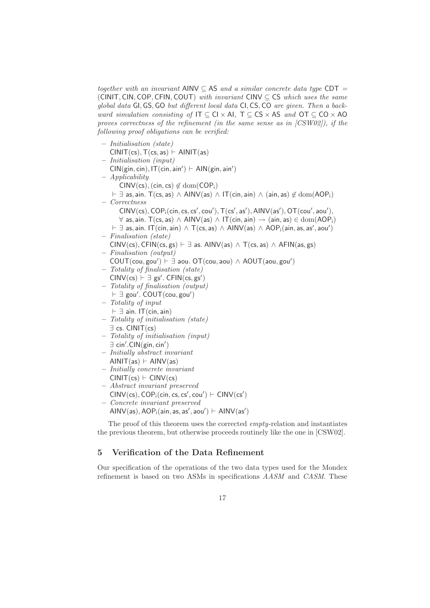together with an invariant AINV  $\subseteq$  AS and a similar concrete data type CDT = (CINIT, CIN, COP, CFIN, COUT) with invariant CINV  $\subseteq$  CS which uses the same global data GI,GS,GO but different local data CI, CS, CO are given. Then a backward simulation consisting of  $IT \subseteq CI \times AI$ ,  $T \subseteq CS \times AS$  and  $OT \subseteq CO \times AO$ proves correctness of the refinement (in the same sense as in [CSW02]), if the following proof obligations can be verified:

- Initialisation (state)
- $CINIT(cs),T(cs, as) \vdash AINIT(as)$
- Initialisation (input)
- $CIN(gin, cin), IT(cin, ain') \vdash \text{AIN}(gin, ain')$
- Applicability
	- $CINV({\sf cs}),({\sf cin},{\sf cs}) \notin {\sf dom}(COP_i)$

 $\vdash$  ∃ as, ain. T(cs, as) ∧ AINV(as) ∧ IT(cin, ain) ∧ (ain, as) ∉ dom(AOP<sub>i</sub>) – Correctness

- $CINV(cs), COP_i(cin, cs, cs', cou'), T(cs', as'), AINV(as'), OT(cou', aou'),$
- $\forall$  as, ain. T(cs, as) ∧ AINV(as) ∧ IT(cin, ain) → (ain, as) ∈ dom(AOP<sub>i</sub>)
- $\vdash \exists$  as, ain. IT(cin, ain) ∧ T(cs, as) ∧ AINV(as) ∧ AOP<sub>i</sub>(ain, as, as', aou') – Finalisation (state)
- CINV(cs), CFIN(cs, gs) ⊢ ∃ as. AINV(as) ∧ T(cs, as) ∧ AFIN(as, gs) – Finalisation (output)
- $\text{COUT}(\text{cou}, \text{gou}') \overset{\sim}{\vdash} \exists \text{ aou. } \text{OT}(\text{cou}, \text{aou}) \land \text{AOUT}(\text{aou}, \text{gou}')$
- Totality of finalisation (state)  $CINV(cs)$  ⊢ ∃ gs'. CFIN(cs, gs')
- Totality of finalisation (output)
- ⊢ ∃ gou′ . COUT(cou, gou′ )
- Totality of input ⊢ ∃ ain. IT(cin, ain)
- Totality of initialisation (state)
- ∃ cs. CINIT(cs)
- Totality of initialisation (input)  $\exists$  cin'. $CIN(gin, cin')$
- Initially abstract invariant AINIT(as) ⊢ AINV(as)
- Initially concrete invariant  $CINIT(cs)$  ⊢  $CINV(cs)$
- Abstract invariant preserved
- $CINV(cs), COP<sub>i</sub>(cin, cs, cs', cou') \vdash CINV(cs')$
- Concrete invariant preserved
	- $\overline{\mathsf{AINV}}(\mathsf{as}), \mathsf{AOP}_\mathsf{i}(\mathsf{ain},\mathsf{as},\mathsf{as}',\mathsf{aou}') \vdash \overline{\mathsf{AINV}}(\mathsf{as}')$

The proof of this theorem uses the corrected empty-relation and instantiates the previous theorem, but otherwise proceeds routinely like the one in [CSW02].

#### 5 Verification of the Data Refinement

Our specification of the operations of the two data types used for the Mondex refinement is based on two ASMs in specifications AASM and CASM. These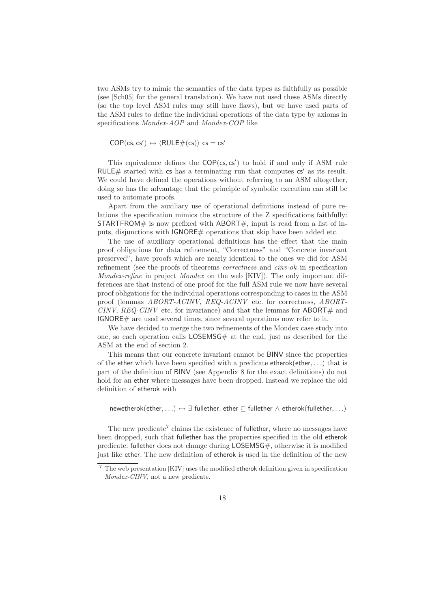two ASMs try to mimic the semantics of the data types as faithfully as possible (see [Sch05] for the general translation). We have not used these ASMs directly (so the top level ASM rules may still have flaws), but we have used parts of the ASM rules to define the individual operations of the data type by axioms in specifications *Mondex-AOP* and *Mondex-COP* like

 $COP(cs, cs') \leftrightarrow \langle RULE\#(cs) \rangle cs = cs'$ 

This equivalence defines the COP(cs, cs') to hold if and only if ASM rule RULE# started with cs has a terminating run that computes  $cs'$  as its result. We could have defined the operations without referring to an ASM altogether, doing so has the advantage that the principle of symbolic execution can still be used to automate proofs.

Apart from the auxiliary use of operational definitions instead of pure relations the specification mimics the structure of the Z specifications faithfully: STARTFROM# is now prefixed with ABORT#, input is read from a list of inputs, disjunctions with  $IGNORE\#$  operations that skip have been added etc.

The use of auxiliary operational definitions has the effect that the main proof obligations for data refinement, "Correctness" and "Concrete invariant preserved", have proofs which are nearly identical to the ones we did for ASM refinement (see the proofs of theorems correctness and cinv-ok in specification Mondex-refine in project Mondex on the web [KIV]). The only important differences are that instead of one proof for the full ASM rule we now have several proof obligations for the individual operations corresponding to cases in the ASM proof (lemmas ABORT-ACINV, REQ-ACINV etc. for correctness, ABORT-CINV, REQ-CINV etc. for invariance) and that the lemmas for  $ABORT \#$  and IGNORE# are used several times, since several operations now refer to it.

We have decided to merge the two refinements of the Mondex case study into one, so each operation calls  $\text{LOSEMSG}\#$  at the end, just as described for the ASM at the end of section 2.

This means that our concrete invariant cannot be BINV since the properties of the ether which have been specified with a predicate etherok(ether, . . .) that is part of the definition of BINV (see Appendix 8 for the exact definitions) do not hold for an ether where messages have been dropped. Instead we replace the old definition of etherok with

newetherok(ether, ...)  $\leftrightarrow \exists$  fullether. ether  $\subseteq$  fullether  $\land$  etherok(fullether, ...)

The new predicate<sup>7</sup> claims the existence of fullether, where no messages have been dropped, such that fullether has the properties specified in the old etherok predicate. fullether does not change during LOSEMSG#, otherwise it is modified just like ether. The new definition of etherok is used in the definition of the new

 $7$  The web presentation [KIV] uses the modified etherok definition given in specification Mondex-CINV, not a new predicate.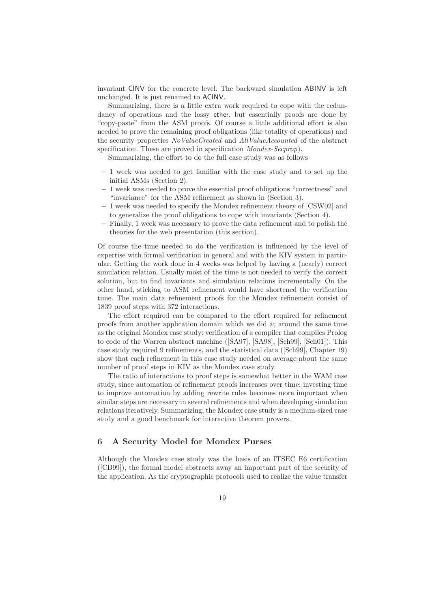invariant CINV for the concrete level. The backward simulation ABINV is left unchanged. It is just renamed to ACINV.

Summarizing, there is a little extra work required to cope with the redundancy of operations and the lossy ether, but essentially proofs are done by "copy-paste" from the ASM proofs. Of course a little additional effort is also needed to prove the remaining proof obligations (like totality of operations) and the security properties NoValueCreated and AllValueAccounted of the abstract specification. These are proved in specification *Mondex-Secprop*).

Summarizing, the effort to do the full case study was as follows

- 1 week was needed to get familiar with the case study and to set up the initial ASMs (Section 2).
- 1 week was needed to prove the essential proof obligations "correctness" and "invariance" for the ASM refinement as shown in (Section 3).
- 1 week was needed to specify the Mondex refinement theory of [CSW02] and to generalize the proof obligations to cope with invariants (Section 4).
- Finally, 1 week was necessary to prove the data refinement and to polish the theories for the web presentation (this section).

Of course the time needed to do the verification is influenced by the level of expertise with formal verification in general and with the KIV system in particular. Getting the work done in 4 weeks was helped by having a (nearly) correct simulation relation. Usually most of the time is not needed to verify the correct solution, but to find invariants and simulation relations incrementally. On the other hand, sticking to ASM refinement would have shortened the verification time. The main data refinement proofs for the Mondex refinement consist of 1839 proof steps with 372 interactions.

The effort required can be compared to the effort required for refinement proofs from another application domain which we did at around the same time as the original Mondex case study: verification of a compiler that compiles Prolog to code of the Warren abstract machine ([SA97], [SA98], [Sch99], [Sch01]). This case study required 9 refinements, and the statistical data ([Sch99], Chapter 19) show that each refinement in this case study needed on average about the same number of proof steps in KIV as the Mondex case study.

The ratio of interactions to proof steps is somewhat better in the WAM case study, since automation of refinement proofs increases over time: investing time to improve automation by adding rewrite rules becomes more important when similar steps are necessary in several refinements and when developing simulation relations iteratively. Summarizing, the Mondex case study is a medium-sized case study and a good benchmark for interactive theorem provers.

#### 6 A Security Model for Mondex Purses

Although the Mondex case study was the basis of an ITSEC E6 certification ([CB99]), the formal model abstracts away an important part of the security of the application. As the cryptographic protocols used to realize the value transfer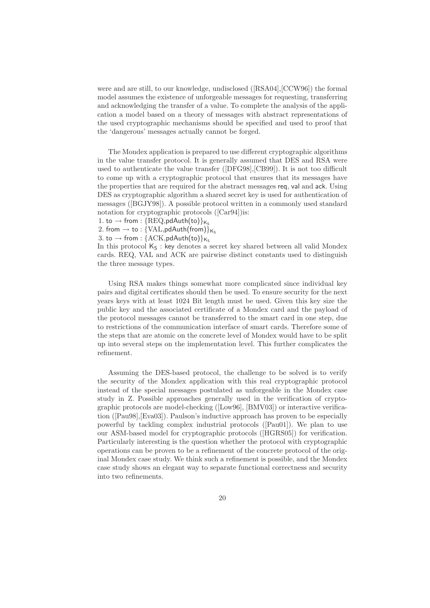were and are still, to our knowledge, undisclosed ([RSA04],[CCW96]) the formal model assumes the existence of unforgeable messages for requesting, transferring and acknowledging the transfer of a value. To complete the analysis of the application a model based on a theory of messages with abstract representations of the used cryptographic mechanisms should be specified and used to proof that the 'dangerous' messages actually cannot be forged.

The Mondex application is prepared to use different cryptographic algorithms in the value transfer protocol. It is generally assumed that DES and RSA were used to authenticate the value transfer ([DFG98],[CB99]). It is not too difficult to come up with a cryptographic protocol that ensures that its messages have the properties that are required for the abstract messages req, val and ack. Using DES as cryptographic algorithm a shared secret key is used for authentication of messages ([BGJY98]). A possible protocol written in a commonly used standard notation for cryptographic protocols ([Car94])is:

1. to  $\rightarrow$  from : {REQ,pdAuth(to)}<sub>Ks</sub>

2. from  $\rightarrow$  to : {VAL,pdAuth(from)}<sub>Ks</sub>

3. to  $\rightarrow$  from : {ACK,pdAuth(to)}<sub>Ks</sub>

In this protocol  $K_S$ : key denotes a secret key shared between all valid Mondex cards. REQ, VAL and ACK are pairwise distinct constants used to distinguish the three message types.

Using RSA makes things somewhat more complicated since individual key pairs and digital certificates should then be used. To ensure security for the next years keys with at least 1024 Bit length must be used. Given this key size the public key and the associated certificate of a Mondex card and the payload of the protocol messages cannot be transferred to the smart card in one step, due to restrictions of the communication interface of smart cards. Therefore some of the steps that are atomic on the concrete level of Mondex would have to be split up into several steps on the implementation level. This further complicates the refinement.

Assuming the DES-based protocol, the challenge to be solved is to verify the security of the Mondex application with this real cryptographic protocol instead of the special messages postulated as unforgeable in the Mondex case study in Z. Possible approaches generally used in the verification of cryptographic protocols are model-checking ([Low96], [BMV03]) or interactive verification ([Pau98],[Eva03]). Paulson's inductive approach has proven to be especially powerful by tackling complex industrial protocols ([Pau01]). We plan to use our ASM-based model for cryptographic protocols ([HGRS05]) for verification. Particularly interesting is the question whether the protocol with cryptographic operations can be proven to be a refinement of the concrete protocol of the original Mondex case study. We think such a refinement is possible, and the Mondex case study shows an elegant way to separate functional correctness and security into two refinements.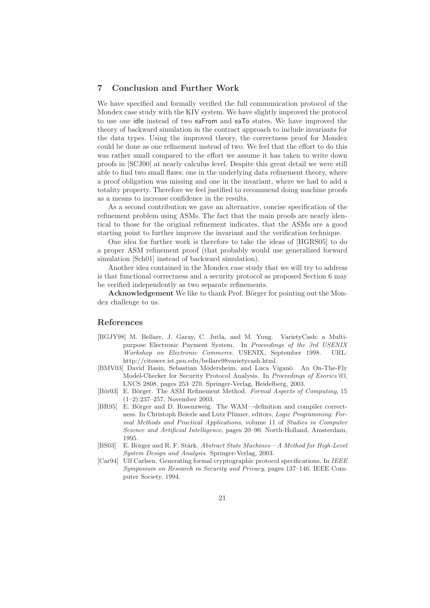#### 7 Conclusion and Further Work

We have specified and formally verified the full communication protocol of the Mondex case study with the KIV system. We have slightly improved the protocol to use one idle instead of two eaFrom and eaTo states. We have improved the theory of backward simulation in the contract approach to include invariants for the data types. Using the improved theory, the correctness proof for Mondex could be done as one refinement instead of two. We feel that the effort to do this was rather small compared to the effort we assume it has taken to write down proofs in [SCJ00] at nearly calculus level. Despite this great detail we were still able to find two small flaws: one in the underlying data refinement theory, where a proof obligation was missing and one in the invariant, where we had to add a totality property. Therefore we feel justified to recommend doing machine proofs as a means to increase confidence in the results.

As a second contribution we gave an alternative, concise specification of the refinement problem using ASMs. The fact that the main proofs are nearly identical to those for the original refinement indicates, that the ASMs are a good starting point to further improve the invariant and the verification technique.

One idea for further work is therefore to take the ideas of [HGRS05] to do a proper ASM refinement proof (that probably would use generalized forward simulation [Sch01] instead of backward simulation).

Another idea contained in the Mondex case study that we will try to address is that functional correctness and a security protocol as proposed Section 6 may be verified independently as two separate refinements.

Acknowledgement We like to thank Prof. Börger for pointing out the Mondex challenge to us.

#### References

- [BGJY98] M. Bellare, J. Garay, C. Jutla, and M. Yung. VarietyCash: a Multipurpose Electronic Payment System. In Proceedings of the 3rd USENIX Workshop on Electronic Commerce. USENIX, September 1998. URL: http://citeseer.ist.psu.edu/bellare98varietycash.html.
- [BMV03] David Basin, Sebastian Mödersheim, and Luca Viganò. An On-The-Fly Model-Checker for Security Protocol Analysis. In Proceedings of Esorics'03, LNCS 2808, pages 253–270. Springer-Verlag, Heidelberg, 2003.
- [Bör03] E. Börger. The ASM Refinement Method. Formal Aspects of Computing, 15 (1–2):237–257, November 2003.
- [BR95] E. Börger and D. Rosenzweig. The WAM—definition and compiler correctness. In Christoph Beierle and Lutz Plümer, editors, Logic Programming: Formal Methods and Practical Applications, volume 11 of Studies in Computer Science and Artificial Intelligence, pages 20–90. North-Holland, Amsterdam, 1995.
- [BS03] E. Börger and R. F. Stärk. Abstract State Machines—A Method for High-Level System Design and Analysis. Springer-Verlag, 2003.
- [Car94] Ulf Carlsen. Generating formal cryptographic protocol specifications. In IEEE Symposium on Research in Security and Privacy, pages 137–146. IEEE Computer Society, 1994.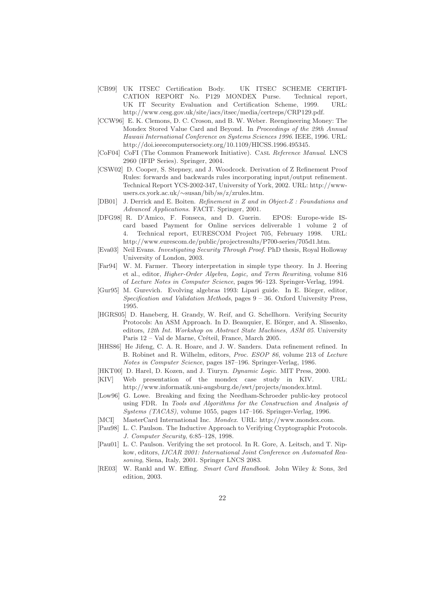- [CB99] UK ITSEC Certification Body. UK ITSEC SCHEME CERTIFI-CATION REPORT No. P129 MONDEX Purse. Technical report, UK IT Security Evaluation and Certification Scheme, 1999. URL: http://www.cesg.gov.uk/site/iacs/itsec/media/certreps/CRP129.pdf.
- [CCW96] E. K. Clemons, D. C. Croson, and B. W. Weber. Reengineering Money: The Mondex Stored Value Card and Beyond. In Proceedings of the 29th Annual Hawaii International Conference on Systems Sciences 1996. IEEE, 1996. URL: http://doi.ieeecomputersociety.org/10.1109/HICSS.1996.495345.
- [CoF04] CoFI (The Common Framework Initiative). Casl Reference Manual. LNCS 2960 (IFIP Series). Springer, 2004.
- [CSW02] D. Cooper, S. Stepney, and J. Woodcock. Derivation of Z Refinement Proof Rules: forwards and backwards rules incorporating input/output refinement. Technical Report YCS-2002-347, University of York, 2002. URL: http://wwwusers.cs.york.ac.uk/∼susan/bib/ss/z/zrules.htm.
- [DB01] J. Derrick and E. Boiten. Refinement in Z and in Object-Z : Foundations and Advanced Applications. FACIT. Springer, 2001.
- [DFG98] R. D'Amico, F. Fonseca, and D. Guerin. EPOS: Europe-wide IScard based Payment for Online services deliverable 1 volume 2 of 4. Technical report, EURESCOM Project 705, February 1998. URL: http://www.eurescom.de/public/projectresults/P700-series/705d1.htm.
- [Eva03] Neil Evans. Investigating Security Through Proof. PhD thesis, Royal Holloway University of London, 2003.
- [Far94] W. M. Farmer. Theory interpretation in simple type theory. In J. Heering et al., editor, Higher-Order Algebra, Logic, and Term Rewriting, volume 816 of Lecture Notes in Computer Science, pages 96–123. Springer-Verlag, 1994.
- [Gur95] M. Gurevich. Evolving algebras 1993: Lipari guide. In E. Börger, editor, Specification and Validation Methods, pages 9 – 36. Oxford University Press, 1995.
- [HGRS05] D. Haneberg, H. Grandy, W. Reif, and G. Schellhorn. Verifying Security Protocols: An ASM Approach. In D. Beauquier, E. Börger, and A. Slissenko, editors, 12th Int. Workshop on Abstract State Machines, ASM 05. University Paris 12 – Val de Marne, Créteil, France, March 2005.
- [HHS86] He Jifeng, C. A. R. Hoare, and J. W. Sanders. Data refinement refined. In B. Robinet and R. Wilhelm, editors, Proc. ESOP 86, volume 213 of Lecture Notes in Computer Science, pages 187–196. Springer-Verlag, 1986.
- [HKT00] D. Harel, D. Kozen, and J. Tiuryn. Dynamic Logic. MIT Press, 2000.
- [KIV] Web presentation of the mondex case study in KIV. URL: http://www.informatik.uni-augsburg.de/swt/projects/mondex.html.
- [Low96] G. Lowe. Breaking and fixing the Needham-Schroeder public-key protocol using FDR. In Tools and Algorithms for the Construction and Analysis of Systems (TACAS), volume 1055, pages 147–166. Springer-Verlag, 1996.
- [MCI] MasterCard International Inc. Mondex. URL: http://www.mondex.com.
- [Pau98] L. C. Paulson. The Inductive Approach to Verifying Cryptographic Protocols. J. Computer Security, 6:85–128, 1998.
- [Pau01] L. C. Paulson. Verifying the set protocol. In R. Gore, A. Leitsch, and T. Nipkow, editors, IJCAR 2001: International Joint Conference on Automated Reasoning, Siena, Italy, 2001. Springer LNCS 2083.
- [RE03] W. Rankl and W. Effing. Smart Card Handbook. John Wiley & Sons, 3rd edition, 2003.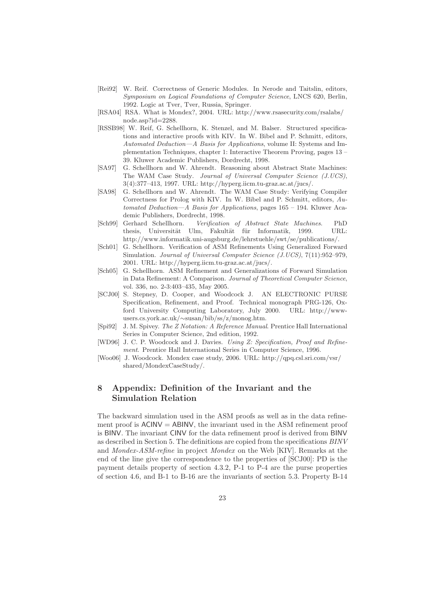- [Rei92] W. Reif. Correctness of Generic Modules. In Nerode and Taitslin, editors, Symposium on Logical Foundations of Computer Science, LNCS 620, Berlin, 1992. Logic at Tver, Tver, Russia, Springer.
- [RSA04] RSA. What is Mondex?, 2004. URL: http://www.rsasecurity.com/rsalabs/ node.asp?id=2288.
- [RSSB98] W. Reif, G. Schellhorn, K. Stenzel, and M. Balser. Structured specifications and interactive proofs with KIV. In W. Bibel and P. Schmitt, editors, Automated Deduction—A Basis for Applications, volume II: Systems and Implementation Techniques, chapter 1: Interactive Theorem Proving, pages 13 – 39. Kluwer Academic Publishers, Dordrecht, 1998.
- [SA97] G. Schellhorn and W. Ahrendt. Reasoning about Abstract State Machines: The WAM Case Study. Journal of Universal Computer Science (J.UCS), 3(4):377–413, 1997. URL: http://hyperg.iicm.tu-graz.ac.at/jucs/.
- [SA98] G. Schellhorn and W. Ahrendt. The WAM Case Study: Verifying Compiler Correctness for Prolog with KIV. In W. Bibel and P. Schmitt, editors, Automated Deduction—A Basis for Applications, pages 165 – 194. Kluwer Academic Publishers, Dordrecht, 1998.
- [Sch99] Gerhard Schellhorn. Verification of Abstract State Machines. PhD thesis, Universität Ulm, Fakultät für Informatik, 1999. URL: http://www.informatik.uni-augsburg.de/lehrstuehle/swt/se/publications/.
- [Sch01] G. Schellhorn. Verification of ASM Refinements Using Generalized Forward Simulation. Journal of Universal Computer Science (J.UCS), 7(11):952–979, 2001. URL: http://hyperg.iicm.tu-graz.ac.at/jucs/.
- [Sch05] G. Schellhorn. ASM Refinement and Generalizations of Forward Simulation in Data Refinement: A Comparison. Journal of Theoretical Computer Science, vol. 336, no. 2-3:403–435, May 2005.
- [SCJ00] S. Stepney, D. Cooper, and Woodcock J. AN ELECTRONIC PURSE Specification, Refinement, and Proof. Technical monograph PRG-126, Oxford University Computing Laboratory, July 2000. URL: http://wwwusers.cs.york.ac.uk/∼susan/bib/ss/z/monog.htm.
- [Spi92] J. M. Spivey. The Z Notation: A Reference Manual. Prentice Hall International Series in Computer Science, 2nd edition, 1992.
- [WD96] J. C. P. Woodcock and J. Davies. Using Z: Specification, Proof and Refinement. Prentice Hall International Series in Computer Science, 1996.
- [Woo06] J. Woodcock. Mondex case study, 2006. URL: http://qpq.csl.sri.com/vsr/ shared/MondexCaseStudy/.

#### 8 Appendix: Definition of the Invariant and the Simulation Relation

The backward simulation used in the ASM proofs as well as in the data refinement proof is  $ACINV = ABINV$ , the invariant used in the ASM refinement proof is BINV. The invariant CINV for the data refinement proof is derived from BINV as described in Section 5. The definitions are copied from the specifications BINV and Mondex-ASM-refine in project Mondex on the Web [KIV]. Remarks at the end of the line give the correspondence to the properties of [SCJ00]: PD is the payment details property of section 4.3.2, P-1 to P-4 are the purse properties of section 4.6, and B-1 to B-16 are the invariants of section 5.3. Property B-14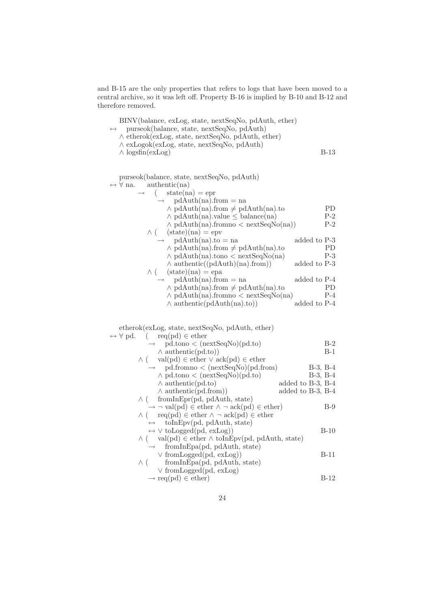and B-15 are the only properties that refers to logs that have been moved to a central archive, so it was left off. Property B-16 is implied by B-10 and B-12 and therefore removed.

| BINV(balance, exLog, state, nextSeqNo, pdAuth, ether)<br>purseok(balance, state, nextSeqNo, pdAuth)<br>$\longleftrightarrow$<br>$\wedge$ etherok(exLog, state, nextSeqNo, pdAuth, ether)<br>$\land$ exLogok(exLog, state, nextSeqNo, pdAuth)<br>$\wedge$ logsfin(exLog) | B-13         |
|-------------------------------------------------------------------------------------------------------------------------------------------------------------------------------------------------------------------------------------------------------------------------|--------------|
| purseok(balance, state, nextSeqNo, pdAuth)                                                                                                                                                                                                                              |              |
| $\leftrightarrow$ $\forall$ na. authentic(na)                                                                                                                                                                                                                           |              |
|                                                                                                                                                                                                                                                                         |              |
| $\rightarrow$ (state(na) = epr                                                                                                                                                                                                                                          |              |
| $\rightarrow$ pdAuth(na).from = na                                                                                                                                                                                                                                      |              |
| $\land$ pdAuth(na).from $\neq$ pdAuth(na).to                                                                                                                                                                                                                            | PD.          |
| $\land$ pdAuth(na).value $\leq$ balance(na)                                                                                                                                                                                                                             | $P-2$        |
| $\land$ pdAuth(na).fromno $\lt$ nextSeqNo(na))                                                                                                                                                                                                                          | $P-2$        |
| $\wedge$ ( (state)(na) = epv                                                                                                                                                                                                                                            |              |
| $\rightarrow$ pdAuth(na).to = na                                                                                                                                                                                                                                        | added to P-3 |
| $\land$ pdAuth(na).from $\neq$ pdAuth(na).to                                                                                                                                                                                                                            | PD.          |
|                                                                                                                                                                                                                                                                         |              |
| $\land$ pdAuth(na).tono $\lt$ nextSeqNo(na)                                                                                                                                                                                                                             | $P-3$        |

|     | $\land$ pdAuth(na).tono < nextSeqNo(na)      |              | $P-3$ |
|-----|----------------------------------------------|--------------|-------|
|     | $\land$ authentic((pdAuth)(na).from))        | added to P-3 |       |
| Λ ( | $(\text{state})(na) = epa$                   |              |       |
|     | $\rightarrow$ pdAuth(na).from = na           | added to P-4 |       |
|     | $\land$ pdAuth(na).from $\neq$ pdAuth(na).to |              | PD.   |
|     | $\land$ pdAuth(na).fromno < nextSeqNo(na)    |              | $P-4$ |
|     | $\wedge$ authentic(pdAuth(na).to))           | added to P-4 |       |
|     |                                              |              |       |

etherok(exLog, state, nextSeqNo, pdAuth, ether)

| $\leftrightarrow \forall$ pd. |                                           |                                                                                                                                                                                                                                                                                                                                                                                                                                                                                                                                                                                                                                                                                                                                  |
|-------------------------------|-------------------------------------------|----------------------------------------------------------------------------------------------------------------------------------------------------------------------------------------------------------------------------------------------------------------------------------------------------------------------------------------------------------------------------------------------------------------------------------------------------------------------------------------------------------------------------------------------------------------------------------------------------------------------------------------------------------------------------------------------------------------------------------|
|                               |                                           | $B-2$                                                                                                                                                                                                                                                                                                                                                                                                                                                                                                                                                                                                                                                                                                                            |
|                               | $\wedge$ authentic(pd.to))                | $B-1$                                                                                                                                                                                                                                                                                                                                                                                                                                                                                                                                                                                                                                                                                                                            |
|                               |                                           |                                                                                                                                                                                                                                                                                                                                                                                                                                                                                                                                                                                                                                                                                                                                  |
|                               |                                           | $B-3, B-4$                                                                                                                                                                                                                                                                                                                                                                                                                                                                                                                                                                                                                                                                                                                       |
|                               | $\land$ pd.tono < (nextSeqNo)(pd.to)      | $B-3, B-4$                                                                                                                                                                                                                                                                                                                                                                                                                                                                                                                                                                                                                                                                                                                       |
|                               | $\wedge$ authentic(pd.to)                 | added to $B-3$ , $B-4$                                                                                                                                                                                                                                                                                                                                                                                                                                                                                                                                                                                                                                                                                                           |
|                               | $\wedge$ authentic(pd.from))              | added to $B-3$ , $B-4$                                                                                                                                                                                                                                                                                                                                                                                                                                                                                                                                                                                                                                                                                                           |
|                               |                                           |                                                                                                                                                                                                                                                                                                                                                                                                                                                                                                                                                                                                                                                                                                                                  |
|                               |                                           | B-9                                                                                                                                                                                                                                                                                                                                                                                                                                                                                                                                                                                                                                                                                                                              |
|                               |                                           |                                                                                                                                                                                                                                                                                                                                                                                                                                                                                                                                                                                                                                                                                                                                  |
|                               |                                           |                                                                                                                                                                                                                                                                                                                                                                                                                                                                                                                                                                                                                                                                                                                                  |
|                               |                                           | $B-10$                                                                                                                                                                                                                                                                                                                                                                                                                                                                                                                                                                                                                                                                                                                           |
|                               |                                           |                                                                                                                                                                                                                                                                                                                                                                                                                                                                                                                                                                                                                                                                                                                                  |
|                               |                                           |                                                                                                                                                                                                                                                                                                                                                                                                                                                                                                                                                                                                                                                                                                                                  |
|                               | $\vee$ from Logged(pd, ex $\text{Log}$ )) | B-11                                                                                                                                                                                                                                                                                                                                                                                                                                                                                                                                                                                                                                                                                                                             |
|                               |                                           |                                                                                                                                                                                                                                                                                                                                                                                                                                                                                                                                                                                                                                                                                                                                  |
|                               | $\vee$ from Logged(pd, exLog)             |                                                                                                                                                                                                                                                                                                                                                                                                                                                                                                                                                                                                                                                                                                                                  |
|                               |                                           | B-12                                                                                                                                                                                                                                                                                                                                                                                                                                                                                                                                                                                                                                                                                                                             |
|                               |                                           | $req(pd) \in \text{ether}$<br>$\rightarrow$ pd.tono < (nextSeqNo)(pd.to)<br>$\wedge$ ( val(pd) $\in$ ether $\vee$ ack(pd) $\in$ ether<br>$\rightarrow$ pd.fromno < (nextSeqNo)(pd.from)<br>$\wedge$ (from In Epr(pd, pd Auth, state)<br>$\rightarrow \neg \text{ val}(pd) \in \text{ether} \land \neg \text{ack}(pd) \in \text{ether}$<br>$\wedge$ ( req(pd) $\in$ ether $\wedge \neg$ ack(pd) $\in$ ether<br>$\leftrightarrow$ toInEpv(pd, pdAuth, state)<br>$\leftrightarrow \vee \text{ toLogged}(pd, \text{exLog}))$<br>$\wedge$ ( val(pd) $\in$ ether $\wedge$ toInEpv(pd, pdAuth, state)<br>$\rightarrow$ from InEpa(pd, pdAuth, state)<br>$\wedge$ (from In Epa(pd, pd Auth, state)<br>$\rightarrow$ req(pd) $\in$ ether) |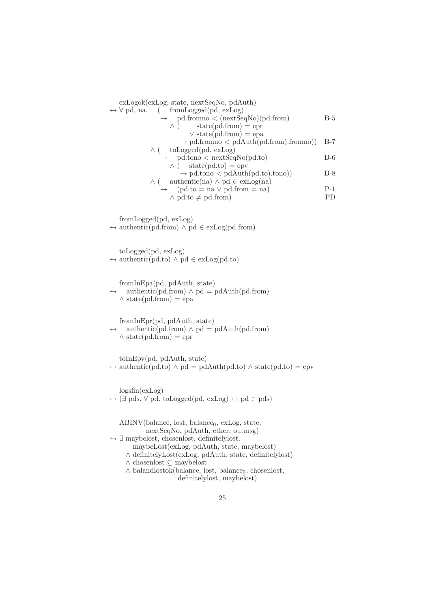exLogok(exLog, state, nextSeqNo, pdAuth)  $\leftrightarrow \forall$  pd, na. (fromLogged(pd, exLog)  $\text{pd}.\text{from} \text{no} < (\text{nextSeqNo})(\text{pd}.\text{from}) \qquad \qquad \text{B-5}$   $\land$  (  $\qquad \qquad \text{state}(\text{pd}.\text{from}) = \text{epr}$  $\text{state}( \text{pd}.\text{from}) = \text{epr}$  $\vee$  state(pd.from) = epa  $\rightarrow$  pd.fromno  $\lt$  pdAuth(pd.from).fromno)) B-7 ∧ ( toLogged(pd, exLog)  $\rightarrow$  pd.tono < nextSeqNo(pd.to) B-6  $\wedge$  ( state(pd.to) = epv  $\rightarrow$  pd.tono  $\lt$  pdAuth(pd.to).tono)) B-8  $\land$  ( authentic(na)  $\land$  pd  $\in$  exLog(na)  $\rightarrow$  (pd.to = na  $\lor$  pd.from = na) P-1<br>  $\land$  pd.to  $\neq$  pd.from) PD  $\land$  pd.to  $\neq$  pd.from) fromLogged(pd, exLog)  $\leftrightarrow$  authentic(pd.from)  $\land$  pd  $\in$  exLog(pd.from) toLogged(pd, exLog)  $\leftrightarrow$  authentic(pd.to)  $\land$  pd  $\in$  exLog(pd.to) fromInEpa(pd, pdAuth, state)  $\leftrightarrow$  authentic(pd.from)  $\land$  pd = pdAuth(pd.from)  $\wedge$  state(pd.from) = epa fromInEpr(pd, pdAuth, state)  $\leftrightarrow$  authentic(pd.from)  $\land$  pd = pdAuth(pd.from)  $\wedge$  state(pd.from) = epr toInEpv(pd, pdAuth, state)  $\leftrightarrow$  authentic(pd.to) ∧ pd = pdAuth(pd.to) ∧ state(pd.to) = epv logsfin(exLog) ↔ (∃ pds. ∀ pd. toLogged(pd, exLog) ↔ pd ∈ pds)

 $ABINV(balance, lost, balance_0, exLog, state,$ nextSeqNo, pdAuth, ether, outmsg) ↔ ∃ maybelost, chosenlost, definitelylost. maybeLost(exLog, pdAuth, state, maybelost) ∧ definitelyLost(exLog, pdAuth, state, definitelylost) ∧ chosenlost ⊆ maybelost  $\land$  balandlostok(balance, lost, balance<sub>0</sub>, chosenlost, definitelylost, maybelost)